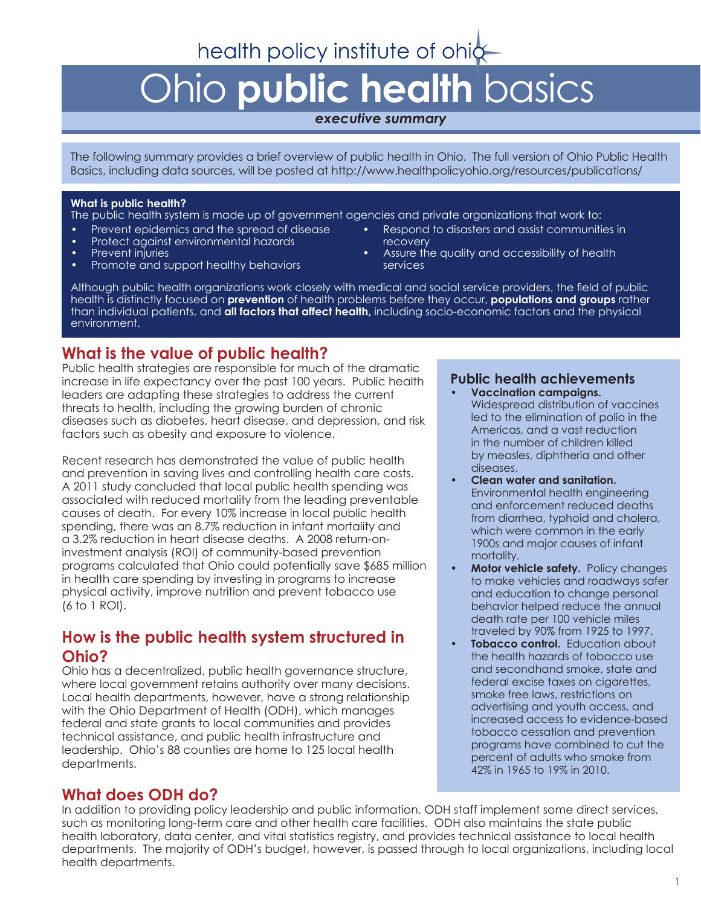## health policy institute of ohic

# Ohio **public health** basics

#### *executive summary*

The following summary provides a brief overview of public health in Ohio. The full version of Ohio Public Health Basics, including data sources, will be posted at http://www.healthpolicyohio.org/resources/publications/

#### **What is public health?**

The public health system is made up of government agencies and private organizations that work to:

- Prevent epidemics and the spread of disease
- Protect against environmental hazards
- Prevent injuries
- Promote and support healthy behaviors
- Respond to disasters and assist communities in recovery
- Assure the quality and accessibility of health services

Although public health organizations work closely with medical and social service providers, the field of public health is distinctly focused on **prevention** of health problems before they occur, **populations and groups** rather than individual patients, and **all factors that affect health,** including socio-economic factors and the physical environment.

## **What is the value of public health?**

Public health strategies are responsible for much of the dramatic increase in life expectancy over the past 100 years. Public health leaders are adapting these strategies to address the current threats to health, including the growing burden of chronic diseases such as diabetes, heart disease, and depression, and risk factors such as obesity and exposure to violence.

Recent research has demonstrated the value of public health and prevention in saving lives and controlling health care costs. A 2011 study concluded that local public health spending was associated with reduced mortality from the leading preventable causes of death. For every 10% increase in local public health spending, there was an 8.7% reduction in infant mortality and a 3.2% reduction in heart disease deaths. A 2008 return-oninvestment analysis (ROI) of community-based prevention programs calculated that Ohio could potentially save \$685 million in health care spending by investing in programs to increase physical activity, improve nutrition and prevent tobacco use (6 to 1 ROI).

## **How is the public health system structured in Ohio?**

Ohio has a decentralized, public health governance structure, where local government retains authority over many decisions. Local health departments, however, have a strong relationship with the Ohio Department of Health (ODH), which manages federal and state grants to local communities and provides technical assistance, and public health infrastructure and leadership. Ohio's 88 counties are home to 125 local health departments.

## **What does ODH do?**

#### **Public health achievements • Vaccination campaigns.**

- Widespread distribution of vaccines led to the elimination of polio in the Americas, and a vast reduction in the number of children killed by measles, diphtheria and other diseases.
- **• Clean water and sanitation.** Environmental health engineering and enforcement reduced deaths from diarrhea, typhoid and cholera, which were common in the early 1900s and major causes of infant mortality.
- **• Motor vehicle safety.** Policy changes to make vehicles and roadways safer and education to change personal behavior helped reduce the annual death rate per 100 vehicle miles traveled by 90% from 1925 to 1997.
- **Tobacco control.** Education about the health hazards of tobacco use and secondhand smoke, state and federal excise taxes on cigarettes, smoke free laws, restrictions on advertising and youth access, and increased access to evidence-based tobacco cessation and prevention programs have combined to cut the percent of adults who smoke from 42% in 1965 to 19% in 2010.

In addition to providing policy leadership and public information, ODH staff implement some direct services, such as monitoring long-term care and other health care facilities. ODH also maintains the state public health laboratory, data center, and vital statistics registry, and provides technical assistance to local health departments. The majority of ODH's budget, however, is passed through to local organizations, including local health departments.